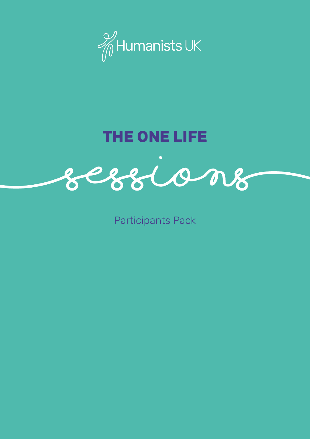

## **THE ONE LIFE**



Participants Pack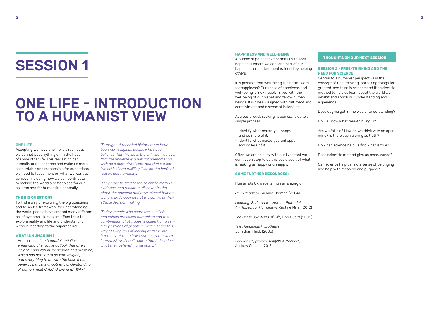# SESSION 1

## ONE LIFE - INTRODUCTION TO A HUMANIST VIEW

#### **ONE LIFE**

Accepting we have one life is a real focus. We cannot put anything off in the hope of some other life. This realisation can intensify our experience and make us more accountable and responsible for our actions. We need to focus more on what we want to achieve, including how we can contribute to making the world a better place for our children and for humankind generally.

#### **THE BIG QUESTIONS**

To find a way of exploring the big questions and to seek a framework for understanding the world, people have created many different belief systems. Humanism offers tools to explore reality and life and understand it without resorting to the supernatural.

#### **WHAT IS HUMANISM?**

Humanism is '.*..a beautiful and lifeenhancing alternative outlook that offers insight, consolation, inspiration and meaning, which has nothing to do with religion, and everything to do with the best, most generous, most sympathetic understanding of human reality.*' *A.C. Grayling (B. 1949)*

*'Throughout recorded history there have been non-religious people who have believed that this life is the only life we have, that the universe is a natural phenomenon with no supernatural side, and that we can live ethical and fulfilling lives on the basis of reason and humanity.*

*'They have trusted to the scientific method, evidence, and reason to discover truths about the universe and have placed human welfare and happiness at the centre of their ethical decision making.*

*'Today, people who share these beliefs and values are called humanists and this combination of attitudes is called humanism. Many millions of people in Britain share this way of living and of looking at the world, but many of them have not heard the word 'humanist' and don't realise that it describes what they believe.'* Humanists UK

#### **HAPPINESS AND WELL-BEING**

A humanist perspective permits us to seek happiness where we can, and part of our happiness or contentment is found by helping others.

It is possible that well-being is a better word for happiness? Our sense of happiness and well-being is inextricably linked with the well being of our planet and fellow human beings. It is closely aligned with fulfilment and contentment and a sense of belonging.

At a basic level, seeking happiness is quite a simple process:

- Identify what makes you happy and do more of it.
- Identify what makes you unhappy and do less of it.

Often we are so busy with our lives that we don't even stop to do this basic audit of what is making us happy or unhappy.

#### **SOME FURTHER RESOURCES:**

Humanists UK website: humanism.org.uk

*On Humanism,* Richard Norman (2004)

*Meaning, Self and the Human Potential: An Appeal for Humanism,* Kristine Millar (2012)

*The Great Questions of Life,* Don Cupitt (2006)

*The Happiness Hypothesis*, Jonathan Haidt (2006)

*Secularism, politics, religion & freedom,*  Andrew Copson (2017)

#### **SESSION 2 - FREE-THINKING AND THE NEED FOR SCIENCE**

Central to a humanist perspective is the concept of free-thinking, not taking things for granted, and trust in science and the scientific method to help us learn about the world we inhabit and enrich our understanding and experience.

Does dogma get in the way of understanding?

Do we know what free-thinking is?

Are we fallible? How do we think with an open mind? Is there such a thing as truth?

How can science help us find what is true?

Does scientific method give us reassurance?

Can science help us find a sense of belonging and help with meaning and purpose?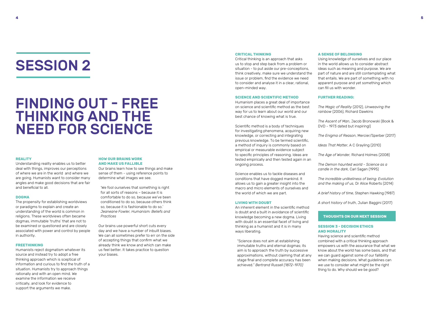#### **CRITICAL THINKING**

Critical thinking is an approach that asks us to stop and step back from a problem or situation - to put aside our pre-conceptions, think creatively, make sure we understand the issue or problem, find the evidence we need to consider and analyse it in a clear, rational, open-minded way.

#### **SCIENCE AND SCIENTIFIC METHOD**

Humanism places a great deal of importance on science and scientific method as the best way for us to learn about our world and our best chance of knowing what is true.

Scientific method is a body of techniques for investigating phenomena, acquiring new knowledge, or correcting and integrating previous knowledge. To be termed scientific, a method of inquiry is commonly based on empirical or measurable evidence subject to specific principles of reasoning. Ideas are tested empirically and then tested again in an ongoing process.

Science enables us to tackle diseases and conditions that have dogged mankind. It allows us to gain a greater insight into the macro and micro elements of ourselves and the world of which we are part.

#### **LIVING WITH DOUBT**

An inherent element in the scientific method is doubt and a built in avoidance of scientific knowledge becoming a new dogma. Living with doubt is an essential facet of living and thinking as a humanist and it is in many ways liberating.

"Science does not aim at establishing immutable truths and eternal dogmas; its aim is to approach the truth by successive approximations, without claiming that at any stage final and complete accuracy has been achieved." *Bertrand Russell (1872-1970)*

#### **A SENSE OF BELONGING**

Using knowledge of ourselves and our place in the world allows us to consider abstract ideas such as meaning and purpose. We are part of nature and are still contemplating what that entails. We are part of something with no apparent purpose and yet something which can fill us with wonder.

#### **FURTHER READING:**

*The Magic of Reality* (2012), *Unweaving the rainbow* (2006), Richard Dawkins

*The Ascent of Man*, Jacob Bronowski (Book & DVD - 1973 dated but inspiring!)

*The Enigma of Reason*, Mercier/Sperber (2017)

*Ideas That Matter*, A C Grayling (2010)

*The Age of Wonder,* Richard Holmes (2008)

*The Demon haunted world - Science as a candle in the dark,* Carl Sagan (1995)

*The incredible unlikeliness of being: Evolution and the making of us,* Dr Alice Roberts (2014)

*A brief history of time*, Stephen Hawking (1987)

*A short history of truth*, Julian Baggini (2017)

## **SESSION 3 - DECISION ETHICS AND MORALITY**

Having science and scientific method combined with a critical thinking approach empowers us with the assurance that what we know about the world has some basis, and that we can guard against some of our fallibility when making decisions. What guidelines can we use to consider what might be the right thing to do. Why should we be good?

# SESSION 2

## FINDING OUT - FREE THINKING AND THE NEED FOR SCIENCE

#### **REALITY**

Understanding reality enables us to better deal with things, improves our perceptions of where we are in the world and where we are going. Humanists want to consider many angles and make good decisions that are fair and beneficial to all.

#### **DOGMA**

The propensity for establishing worldviews or paradigms to explain and create an understanding of the world is common in religions. These worldviews often became dogmas, immutable 'truths' that are not to be examined or questioned and are closely associated with power and control by people in authority.

#### **FREETHINKING**

Humanists reject dogmatism whatever its source and instead try to adopt a free thinking approach which is sceptical of information and curious to find the truth of a situation. Humanists try to approach things rationally and with an open mind. We examine the information we receive critically, and look for evidence to support the arguments we make.

### **HOW OUR BRAINS WORK AND MAKE US FALLIBLE**

Our brains learn how to see things and make sense of them - using reference points to determine what images we see.

'We fool ourselves that something is right for all sorts of reasons – because it is comfortable to do so, because we've been conditioned to do so, because others think so, because it is fashionable to do so.' *Jeaneane Fowler, Humanism: Beliefs and Practices*

Our brains use powerful short cuts every day and we have a number of inbuilt biases. We can all sometimes prefer to err on the side of accepting things that confirm what we already think we know and which can make us feel better. It takes practice to question your biases.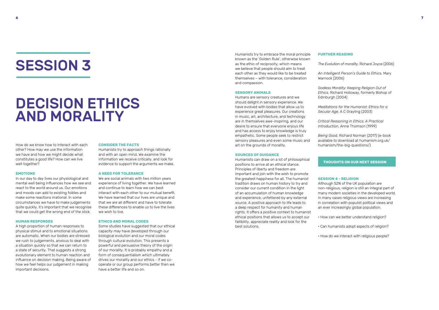Humanists try to embrace the moral principle known as the 'Golden Rule', otherwise known as the ethic of reciprocity, which means we believe that people should aim to treat each other as they would like to be treated themselves – with tolerance, consideration and compassion.

#### **SENSORY ANIMALS**

Humans are sensory creatures and we should delight in sensory experience. We have evolved with bodies that allow us to experience great pleasures. Our creations in music, art, architecture, and technology are in themselves awe-inspiring, and our desire to ensure that everyone enjoys life and has access to enjoy knowledge is truly empathetic. Some people seek to restrict sensory pleasures and even some music and art on the grounds of morality.

#### **SOURCES OF GUIDANCE**

Humanists can draw on a lot of philosophical positions to arrive at an ethical stance. Principles of liberty and freedom are important and join with the wish to promote the greatest happiness for all. The humanist tradition draws on human history to try and consider our current condition in the light of an accumulation of human knowledge and experience, unfettered by any external source. A positive approach to life leads to a deep respect for humanity and human rights. It offers a positive context to humanist ethical positions that allows us to accept our fallibility, appreciate reality and look for the best solutions.

### **FURTHER READING**

*The Evolution of morality*, Richard Joyce (2006)

*An Intelligent Person's Guide to Ethics,* Mary Warnock (2006)

*Godless Morality: Keeping Religion Out of Ethics,* Richard Holloway, formerly Bishop of Edinburgh (2004)

*Meditations for the Humanist: Ethics for a Secular Age,* A C Grayling (2003)

*Critical Reasoning in Ethics: A Practical Introduction*, Anne Thomson (1999)

*Being Good,* Richard Norman (2017) (e-book available to download at humanism.org.uk/ humanism/the-big-questions/)

**SESSION 4 - RELIGION**  Although 52% of the UK population are non-religious, religion is still an integral part of many modern societies in the developed world. In many cases religious views are increasing in correlation with populist political views and an ever increasingly global population.

- 
- 

• How can we better understand religion?

• Can humanists adopt aspects of religion?

• How do we interact with religious people?

# SESSION 3

## DECISION ETHICS AND MORALITY

How do we know how to interact with each other? How may we use the information we have and how we might decide what constitutes a good life? How can we live well together?

#### **EMOTIONS**

In our day to day lives our physiological and mental well being influences how we see and react to the world around us. Our emotions and moods can add to existing foibles and make some reactions irrational. In some circumstances we have to make judgements quite quickly, it's important that we recognise that we could get the wrong end of the stick.

#### **HUMAN RESPONSES**

A high proportion of human responses to physical stimuli and to emotional situations are automatic. When our bodies are stressed we rush to judgements, anxious to deal with a situation quickly so that we can return to a state of security. That suggests a strong evolutionary element to human reaction and influence on decision making. Being aware of how we feel helps our judgement in making important decisions.

#### **CONSIDER THE FACTS**

Humanists try to approach things rationally and with an open mind. We examine the information we receive critically, and look for evidence to support the arguments we make.

#### **A NEED FOR TOLERANCE**

We are social animals with two million years experience of living together. We have learned and continue to learn how we can best interact with each other to our mutual benefit. We have learned that our lives are unique and that we are all different and have to tolerate these differences to enable us to live the lives we wish to live.

#### **ETHICS AND MORAL CODES**

Some studies have suggested that our ethical capacity may have developed through our biological evolution and our moral codes through cultural evolution. This presents a powerful and persuasive theory of the origin of our morality. It is probably empathy and a form of consequentialism which ultimately drives our morality and our ethics - if we cooperate or our group performs better then we have a better life and so on.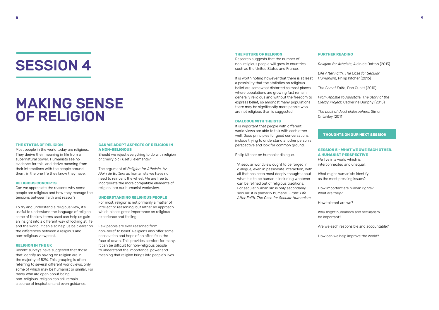#### **THE FUTURE OF RELIGION**

Research suggests that the number of non-religious people will grow in countries such as the United States and France.

It is worth noting however that there is at least a possibility that the statistics on religious belief are somewhat distorted as most places where populations are growing fast remain generally religious and without the freedom to express belief, so amongst many populations there may be significantly more people who are not religious than is suggested.

**DIALOGUE WITH THEISTS**

It is important that people with different world views are able to talk with each other well. Good principles for good conversations include trying to understand another person's perspective and look for common ground.

Philip Kitcher on humanist dialogue.

'A secular worldview ought to be forged in dialogue, even in passionate interaction, with all that has been most deeply thought about what it is to be human – including whatever can be refined out of religious traditions. For secular humanism is only secondarily secular: it is primarily humane.' *From: Life After Faith, The Case for Secular Humanism*

### **FURTHER READING**

*Religion for Atheists*, Alain de Botton (2013)

*Life After Faith: The Case for Secular Humanism*, Philip Kitcher (2016)

*The Sea of Faith*, Don Cupitt (2010)

*From Apostle to Apostate: The Story of the Clergy Project*, Catherine Dunphy (2015)

*The book of dead philosophers*, Simon Critchley (2011)

## **SESSION 5 - WHAT WE OWE EACH OTHER, A HUMANIST PERSPECTIVE**

We live in a world which is interconnected and unequal.

What might humanists identify as the most pressing issues?

How important are human rights?

What are they?

How tolerant are we?

Why might humanism and secularism be important?

Are we each responsible and accountable?

How can we help improve the world?

# SESSION 4

## MAKING SENSE OF RELIGION

#### **THE STATUS OF RELIGION**

Most people in the world today are religious. They derive their meaning in life from a supernatural power. Humanists see no evidence for this, and derive meaning from their interactions with the people around them, in the one life they know they have.

#### **RELIGIOUS CONCEPTS**

Can we appreciate the reasons why some people are religious and how they manage the tensions between faith and reason?

To try and understand a religious view, it's useful to understand the language of religion, some of the key terms used can help us gain an insight into a different way of looking at life and the world. It can also help us be clearer on the differences between a religious and non-religious viewpoint.

#### **RELIGION IN THE UK**

Recent surveys have suggested that those that identify as having no religion are in the majority of 52%. This grouping is often referring to several different worldviews, only some of which may be humanist or similar. For many who are open about being non-religious, religion can still remain a source of inspiration and even guidance.

#### **CAN WE ADOPT ASPECTS OF RELIGION IN A NON-RELIGIOUS**

Should we reject everything to do with religion or cherry pick useful elements?

The argument of *Religion for Atheists*, *by Alain de Botton*: as humanists we have no need to reinvent the wheel. We are free to incorporate the more compatible elements of religion into our humanist worldview.

#### **UNDERSTANDING RELIGIOUS PEOPLE**

For most, religion is not primarily a matter of intellect or reasoning, but rather an approach which places great importance on religious experience and feeling.

Few people are ever reasoned from non-belief to belief. Religions also offer some consolation and hope of an afterlife in the face of death. This provides comfort for many. It can be difficult for non-religious people to understand the importance, power and meaning that religion brings into people's lives.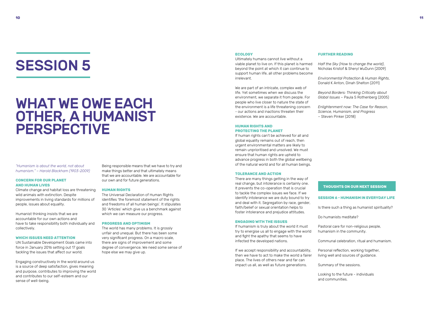#### **ECOLOGY**

Ultimately humans cannot live without a viable planet to live on. If this planet is harmed beyond the point at which it can continue to support human life, all other problems become irrelevant.

We are part of an intricate, complex web of life. Yet sometimes when we discuss the environment, we separate it from people. For people who live closer to nature the state of the environment is a life threatening concern - our actions and inactions threaten their existence. We are accountable.

### **HUMAN RIGHTS AND PROTECTING THE PLANET**

If human rights can't be achieved for all and global equality remains out of reach, then urgent environmental matters are likely to remain unprioritised and unsolved. We must ensure that human rights are upheld to advance progress in both the global wellbeing of the natural world and for all human beings.

#### **TOLERANCE AND ACTION**

There are many things getting in the way of real change, but intolerance is certainly one. It prevents the co-operation that is crucial to tackle the complex issues we face. If we identify intolerance we are duty bound to try and deal with it. Segregation by race, gender, faith/belief or sexual orientation helps to foster intolerance and prejudice attitudes.

#### **ENGAGING WITH THE ISSUES**

If humanism is truly about the world it must try to energise us all to engage with the world and fight the apathy that seems to have infected the developed nations.

If we accept responsibility and accountability, then we have to act to make the world a fairer place. The lives of others near and far can impact us all, as well as future generations.

#### **FURTHER READING**

*Half the Sky (How to change the world)*, Nicholas Kristof & Sheryl WuDunn (2009)

*Environmental Protection & Human Rights*, Donald K Anton, Dinah Shelton (2011)

*Beyond Borders: Thinking Critically about Global Issues* – Paula S Rothenberg (2005)

*Enlightenment now: The Case for Reason, Science, Humanism, and Progress* – Steven Pinker (2018)

#### **SESSION 6 - HUMANISM IN EVERYDAY LIFE**

Is there such a thing as humanist spirituality?

Do humanists meditate?

Pastoral care for non-religious people, humanism in the community.

Communal celebration, ritual and humanism.

Personal reflection, working together, living well and sources of guidance.

Summary of the sessions.

Looking to the future - individuals and communities.

# SESSION 5

## WHAT WE OWE EACH OTHER, A HUMANIST PERSPECTIVE

*"Humanism is about the world, not about humanism." – Harold Blackham (1903-2009)* 

#### **CONCERN FOR OUR PLANET AND HUMAN LIVES**

Climate change and habitat loss are threatening wild animals with extinction. Despite improvements in living standards for millions of people, issues about equality.

Humanist thinking insists that we are accountable for our own actions and have to take responsibility both individually and collectively.

#### **WHICH ISSUES NEED ATTENTION**

UN Sustainable Development Goals came into force in January 2016 setting out 17 goals tackling the issues that affect our world.

Engaging constructively in the world around us is a source of deep satisfaction, gives meaning and purpose, contributes to improving the world and contributes to our self-esteem and our sense of well-being.

Being responsible means that we have to try and make things better and that ultimately means that we are accountable. We are accountable for our own and for future generations.

#### **HUMAN RIGHTS**

The Universal Declaration of Human Rights identifies 'the foremost statement of the rights and freedoms of all human beings'. It stipulates 30 'Articles' which give us a benchmark against which we can measure our progress.

#### **PROGRESS AND OPTIMISM**

The world has many problems. It is grossly unfair and unequal. But there has been some very significant progress. On a macro scale, there are signs of improvement and some degree of convergence. We need some sense of hope else we may give up.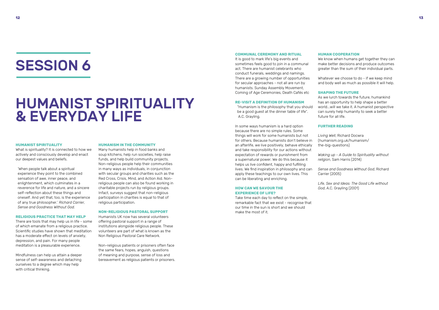**12**

#### **COMMUNAL CEREMONY AND RITUAL**

It is good to mark life's big events and sometimes feels good to join in a communal act. There are humanist celebrants who conduct funerals, weddings and namings. There are a growing number of opportunities for secular approaches - not all are run by humanists. Sunday Assembly Movement, Coming of Age Ceremonies, Death Cafés etc

#### **RE-VISIT A DEFINITION OF HUMANISM**

"Humanism is the philosophy that you should be a good guest at the dinner table of life". A.C. Grayling.

Whatever we choose to do - if we keep mind and body well as much as possible it will help.

In some ways humanism is a hard option because there are no simple rules. Some things will work for some humanists but not for others. Because humanists don't believe in an afterlife, we live positively, behave ethically and take responsibility for our actions without expectation of rewards or punishment from a supernatural power. We do this because it helps us live confident, happy and fulfilling lives. We find inspiration in philosophy and can apply these teachings to our own lives. This can be liberating and enriching.

#### **HOW CAN WE SAVOUR THE EXPERIENCE OF LIFE?**

Take time each day to reflect on the simple, remarkable fact that we exist - recognise that our time in the sun is short and we should make the most of it.

#### **HUMAN COOPERATION**

We know when humans get together they can make better decisions and produce outcomes greater than the sum of their individual parts.

### **SHAPING THE FUTURE**

As we lurch towards the future, humankind has an opportunity to help shape a better world...will we take it. A humanist perspective can surely help humanity to seek a better future for all life.

### **FURTHER READING**

*Living Well*, Richard Docwra (humanism.org.uk/humanism/ the-big-questions)

*Waking up - A Guide to Spirituality without religion*, Sam Harris (2014)

*Sense and Goodness Without God*, Richard

Carrier (2005)

*Life, Sex and Ideas: The Good Life without God*, A.C. Grayling (2001)

# SESSION 6

## HUMANIST SPIRITUALITY & EVERYDAY LIFE

#### **HUMANIST SPIRITUALITY**

What is spirituality? It is connected to how we actively and consciously develop and enact our deepest values and beliefs.

'When people talk about a spiritual experience they point to the combined sensation of awe, inner peace, and enlightenment, which culminates in a reverence for life and nature, and a sincere self-reflection about these things and oneself. And yet that, too, is the experience of any true philosopher.' *Richard Carrier, Sense and Goodness Without God.*

#### **RELIGIOUS PRACTICE THAT MAY HELP**

There are tools that may help us in life - some of which emanate from a religious practice. Scientific studies have shown that meditation has a moderate effect on levels of anxiety, depression, and pain. For many people meditation is a pleasurable experience.

Mindfulness can help us attain a deeper sense of self-awareness and detaching ourselves to a degree which may help with critical thinking.

#### **HUMANISM IN THE COMMUNITY**

Many humanists help in food banks and soup kitchens, help run societies, help raise funds, and help build community projects. Non-religious people help their communities in many ways as individuals, in conjunction with secular groups and charities such as the Red Cross, Crisis, Mind, and Action Aid. Nonreligious people can also be found working in charitable projects run by religious groups. Infact, surveys suggest that non-religious participation in charities is equal to that of religious participation.

#### **NON-RELIGIOUS PASTORAL SUPPORT**

Humanists UK now has several volunteers offering pastoral support in a range of institutions alongside religious people. These volunteers are part of what is known as the Non Religious Pastoral Care Network.

Non-religious patients or prisoners often face the same fears, hopes, anguish, questions of meaning and purpose, sense of loss and bereavement as religious patients or prisoners.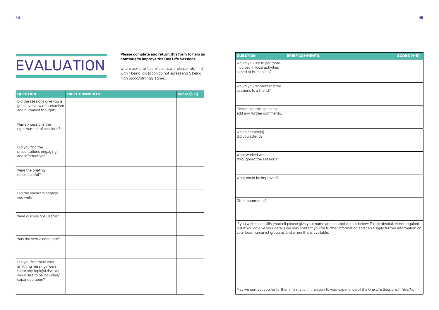| <b>QUESTION</b>                                                                                                                 | <b>BRIEF COMMENTS</b> | <b>Score (1-5)</b> |
|---------------------------------------------------------------------------------------------------------------------------------|-----------------------|--------------------|
| Did the sessions give you a<br>good overview of humanism<br>and humanist thought?                                               |                       |                    |
| Was six sessions the<br>right number of sessions?                                                                               |                       |                    |
| Did you find the<br>presentations engaging<br>and informative?                                                                  |                       |                    |
| Were the briefing<br>notes helpful?                                                                                             |                       |                    |
| Did the speakers engage<br>you well?                                                                                            |                       |                    |
| Were discussions useful?                                                                                                        |                       |                    |
| Was the venue adequate?                                                                                                         |                       |                    |
| Did you find there was<br>anything missing? Were<br>there any topic(s) that you<br>would like to be included/<br>expanded upon? |                       |                    |

| <b>QUESTION</b>                                                                   | <b>BRIEF COMMENTS</b> | <b>SCORE (1-5)</b> |
|-----------------------------------------------------------------------------------|-----------------------|--------------------|
| Would you like to get more<br>involved in local activities<br>aimed at humanists? |                       |                    |
| Would you recommend the<br>sessions to a friend?                                  |                       |                    |
| Please use this space to<br>add any further comments.                             |                       |                    |
| Which session(s)<br>did you attend?                                               |                       |                    |
| What worked well<br>throughout the sessions?                                      |                       |                    |
| What could be improved?                                                           |                       |                    |
| Other comments?                                                                   |                       |                    |

If you wish to identify yourself please give your name and contact details below: This is absolutely not required but if you do give your details we may contact you for further information and can supply further information on your local humanist group as and when this is available.

May we contact you for further information in relation to ye

|                                                                                                                 | <b>SCORE (1-5)</b> |  |  |  |
|-----------------------------------------------------------------------------------------------------------------|--------------------|--|--|--|
|                                                                                                                 |                    |  |  |  |
|                                                                                                                 |                    |  |  |  |
|                                                                                                                 |                    |  |  |  |
|                                                                                                                 |                    |  |  |  |
|                                                                                                                 |                    |  |  |  |
|                                                                                                                 |                    |  |  |  |
|                                                                                                                 |                    |  |  |  |
|                                                                                                                 |                    |  |  |  |
|                                                                                                                 |                    |  |  |  |
|                                                                                                                 |                    |  |  |  |
|                                                                                                                 |                    |  |  |  |
|                                                                                                                 |                    |  |  |  |
|                                                                                                                 |                    |  |  |  |
|                                                                                                                 |                    |  |  |  |
|                                                                                                                 |                    |  |  |  |
|                                                                                                                 |                    |  |  |  |
|                                                                                                                 |                    |  |  |  |
|                                                                                                                 |                    |  |  |  |
|                                                                                                                 |                    |  |  |  |
|                                                                                                                 |                    |  |  |  |
|                                                                                                                 |                    |  |  |  |
|                                                                                                                 |                    |  |  |  |
| contact details below: This is absolutely not required<br>her information and can supply further information on |                    |  |  |  |
|                                                                                                                 |                    |  |  |  |
|                                                                                                                 |                    |  |  |  |
|                                                                                                                 |                    |  |  |  |
|                                                                                                                 |                    |  |  |  |
|                                                                                                                 |                    |  |  |  |
|                                                                                                                 |                    |  |  |  |
|                                                                                                                 |                    |  |  |  |
|                                                                                                                 |                    |  |  |  |
| our experience of the One Life Sessions? Yes/No                                                                 |                    |  |  |  |

# EVALUATION

Please complete and return this form to help us continue to improve the One Life Sessions.

Where asked to 'score' an answer please rate 1 - 5 with 1 being low (poor/do not agree) and 5 being high (good/strongly agree).